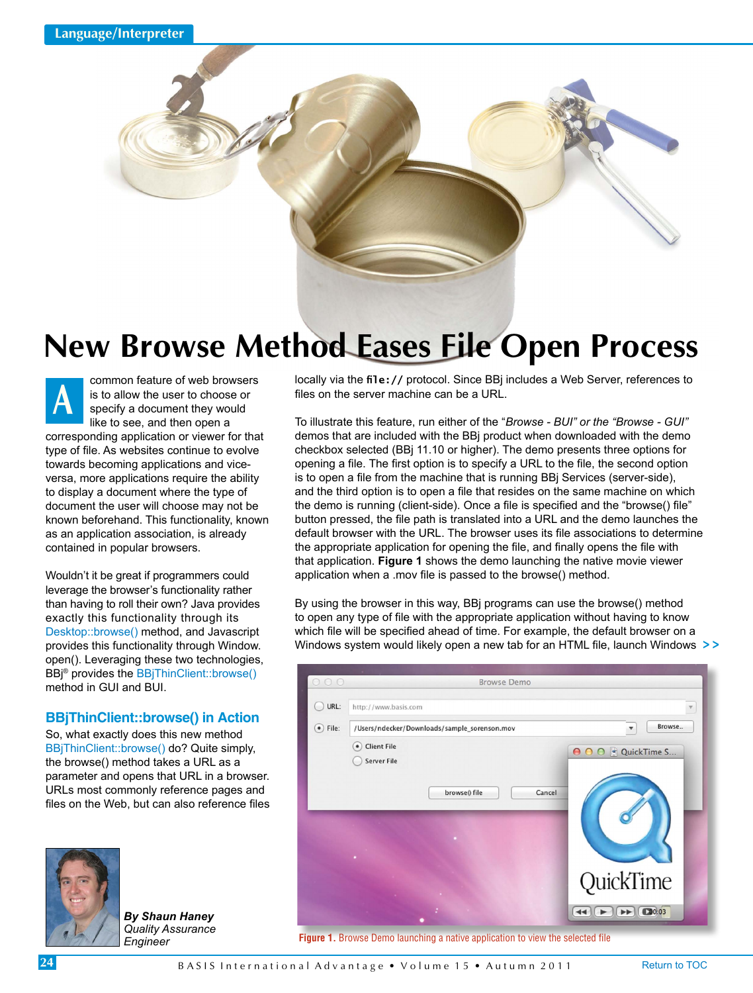

## **New Browse Method Eases File Open Process**

common feature of web browsers is to allow the user to choose or specify a document they would like to see, and then open a corresponding application or viewer for that type of file. As websites continue to evolve towards becoming applications and viceversa, more applications require the ability to display a document where the type of document the user will choose may not be known beforehand. This functionality, known as an application association, is already contained in popular browsers. **A**

Wouldn't it be great if programmers could leverage the browser's functionality rather than having to roll their own? Java provides exactly this functionality through its [Desktop::browse\(\) m](http://docs.oracle.com/javase/6/docs/api/java/awt/Desktop.html#browse(java.net.URI))ethod, and Javascript provides this functionality through Window. open(). Leveraging these two technologies, BBj® provides the [BBjThinClient::browse\(\)](http://documentation.basis.com/BASISHelp/WebHelp/sysguicontmethods/bbjthinclient_browse.htm) method in GUI and BUI.

## **BBjThinClient::browse() in Action**

So, what exactly does this new method [BBjThinClient::browse\(\) do](http://documentation.basis.com/BASISHelp/WebHelp/sysguicontmethods/bbjthinclient_browse.htm)? Quite simply, the browse() method takes a URL as a parameter and opens that URL in a browser. URLs most commonly reference pages and files on the Web, but can also reference files



*By Shaun Haney Quality Assurance Engineer*

locally via the **file://** protocol. Since BBj includes a Web Server, references to files on the server machine can be a URL.

To illustrate this feature, run either of the "*Browse - BUI" or the "Browse - GUI"* demos that are included with the BBj product when downloaded with the demo checkbox selected (BBj 11.10 or higher). The demo presents three options for opening a file. The first option is to specify a URL to the file, the second option is to open a file from the machine that is running BBj Services (server-side), and the third option is to open a file that resides on the same machine on which the demo is running (client-side). Once a file is specified and the "browse() file" button pressed, the file path is translated into a URL and the demo launches the default browser with the URL. The browser uses its file associations to determine the appropriate application for opening the file, and finally opens the file with that application. **Figure 1** shows the demo launching the native movie viewer application when a .mov file is passed to the browse() method.

By using the browser in this way, BBj programs can use the browse() method to open any type of file with the appropriate application without having to know which file will be specified ahead of time. For example, the default browser on a Windows system would likely open a new tab for an HTML file, launch Windows **> >**



**Figure 1.** Browse Demo launching a native application to view the selected file